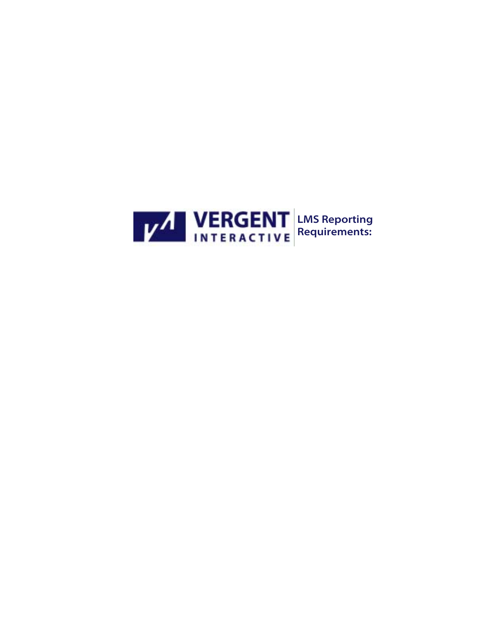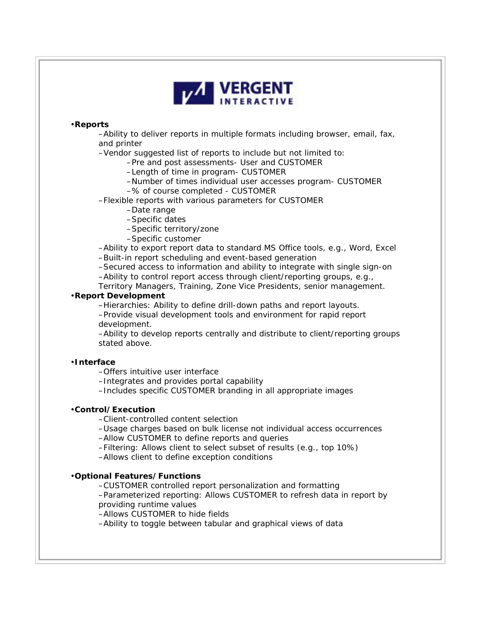

### •**Reports**

–Ability to deliver reports in multiple formats including browser, email, fax, and printer

–Vendor suggested list of reports to include but not limited to:

–Pre and post assessments- User and CUSTOMER

–Length of time in program- CUSTOMER

–Number of times individual user accesses program- CUSTOMER

–% of course completed - CUSTOMER

–Flexible reports with various parameters for CUSTOMER

–Date range

–Specific dates

–Specific territory/zone

–Specific customer

–Ability to export report data to standard MS Office tools, e.g., Word, Excel –Built-in report scheduling and event-based generation

–Secured access to information and ability to integrate with single sign-on –Ability to control report access through client/reporting groups, e.g.,

Territory Managers, Training, Zone Vice Presidents, senior management.

## •**Report Development**

–Hierarchies: Ability to define drill-down paths and report layouts.

–Provide visual development tools and environment for rapid report development.

–Ability to develop reports centrally and distribute to client/reporting groups stated above.

#### •**Interface**

–Offers intuitive user interface

–Integrates and provides portal capability

–Includes specific CUSTOMER branding in all appropriate images

#### •**Control/Execution**

–Client-controlled content selection

–Usage charges based on bulk license not individual access occurrences

–Allow CUSTOMER to define reports and queries

–Filtering: Allows client to select subset of results (e.g., top 10%)

–Allows client to define exception conditions

# •**Optional Features/Functions**

–CUSTOMER controlled report personalization and formatting

–Parameterized reporting: Allows CUSTOMER to refresh data in report by providing runtime values

–Allows CUSTOMER to hide fields

–Ability to toggle between tabular and graphical views of data